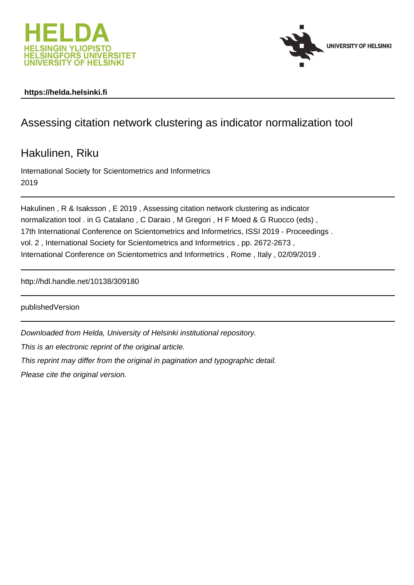



### **https://helda.helsinki.fi**

# Assessing citation network clustering as indicator normalization tool

Hakulinen, Riku

International Society for Scientometrics and Informetrics 2019

Hakulinen , R & Isaksson , E 2019 , Assessing citation network clustering as indicator normalization tool . in G Catalano , C Daraio , M Gregori , H F Moed & G Ruocco (eds) , 17th International Conference on Scientometrics and Informetrics, ISSI 2019 - Proceedings . vol. 2 , International Society for Scientometrics and Informetrics , pp. 2672-2673 , International Conference on Scientometrics and Informetrics , Rome , Italy , 02/09/2019 .

http://hdl.handle.net/10138/309180

publishedVersion

Downloaded from Helda, University of Helsinki institutional repository.

This is an electronic reprint of the original article.

This reprint may differ from the original in pagination and typographic detail.

Please cite the original version.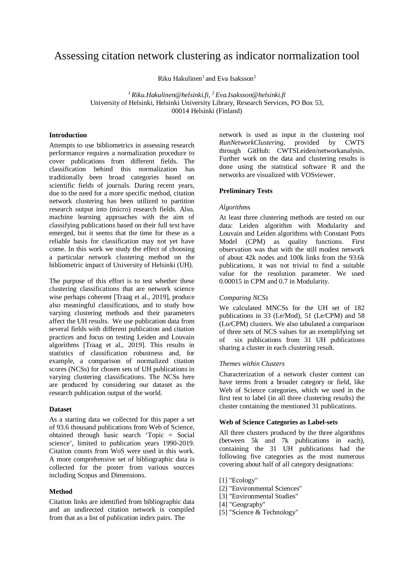## Assessing citation network clustering as indicator normalization tool

Riku Hakulinen<sup>1</sup> and Eva Isaksson<sup>2</sup>

*<sup>1</sup> Riku.Hakulinen@helsinki.fi, <sup>2</sup> Eva.Isaksson@helsinki.fi* University of Helsinki, Helsinki University Library, Research Services, PO Box 53, 00014 Helsinki (Finland)

#### **Introduction**

Attempts to use bibliometrics in assessing research performance requires a normalization procedure to cover publications from different fields. The classification behind this normalization has traditionally been broad categories based on scientific fields of journals. During recent years, due to the need for a more specific method, citation network clustering has been utilized to partition research output into (micro) research fields. Also, machine learning approaches with the aim of classifying publications based on their full text have emerged, but it seems that the time for these as a reliable basis for classification may not yet have come. In this work we study the effect of choosing a particular network clustering method on the bibliometric impact of University of Helsinki (UH).

The purpose of this effort is to test whether these clustering classifications that are network science wise perhaps coherent [Traag et al., 2019], produce also meaningful classifications, and to study how varying clustering methods and their parameters affect the UH results. We use publication data from several fields with different publication and citation practices and focus on testing Leiden and Louvain algorithms [Traag et al., 2019]. This results in statistics of classification robustness and, for example, a comparison of normalized citation scores (NCSs) for chosen sets of UH publications in varying clustering classifications. The NCSs here are produced by considering our dataset as the research publication output of the world.

#### **Dataset**

As a starting data we collected for this paper a set of 93.6 thousand publications from Web of Science, obtained through basic search 'Topic = Social science', limited to publication years 1990-2019. Citation counts from WoS were used in this work. A more comprehensive set of bibliographic data is collected for the poster from various sources including Scopus and Dimensions.

#### **Method**

Citation links are identified from bibliographic data and an undirected citation network is compiled from that as a list of publication index pairs. The

network is used as input in the clustering tool *RunNetworkClustering*, provided by CWTS through GitHub: CWTSLeiden/networkanalysis. Further work on the data and clustering results is done using the statistical software R and the networks are visualized with VOSviewer.

#### **Preliminary Tests**

#### *Algorithms*

At least three clustering methods are tested on our data: Leiden algorithm with Modularity and Louvain and Leiden algorithms with Constant Potts Model (CPM) as quality functions. First observation was that with the still modest network of about 42k nodes and 100k links from the 93.6k publications, it was not trivial to find a suitable value for the resolution parameter. We used 0.00015 in CPM and 0.7 in Modularity.

#### *Comparing NCSs*

We calculated MNCSs for the UH set of 182 publications in 33 (Le/Mod), 51 (Le/CPM) and 58 (Lo/CPM) clusters. We also tabulated a comparison of three sets of NCS values for an exemplifying set of six publications from 31 UH publications sharing a cluster in each clustering result.

#### *Themes within Clusters*

Characterization of a network cluster content can have terms from a broader category or field, like Web of Science categories, which we used in the first test to label (in all three clustering results) the cluster containing the mentioned 31 publications.

#### **Web of Science Categories as Label-sets**

All three clusters produced by the three algorithms (between 5k and 7k publications in each), containing the 31 UH publications had the following five categories as the most numerous covering about half of all category designations:

- [1] "Ecology"
- [2] "Environmental Sciences"
- [3] "Environmental Studies"
- [4] "Geography"
- [5] "Science & Technology"